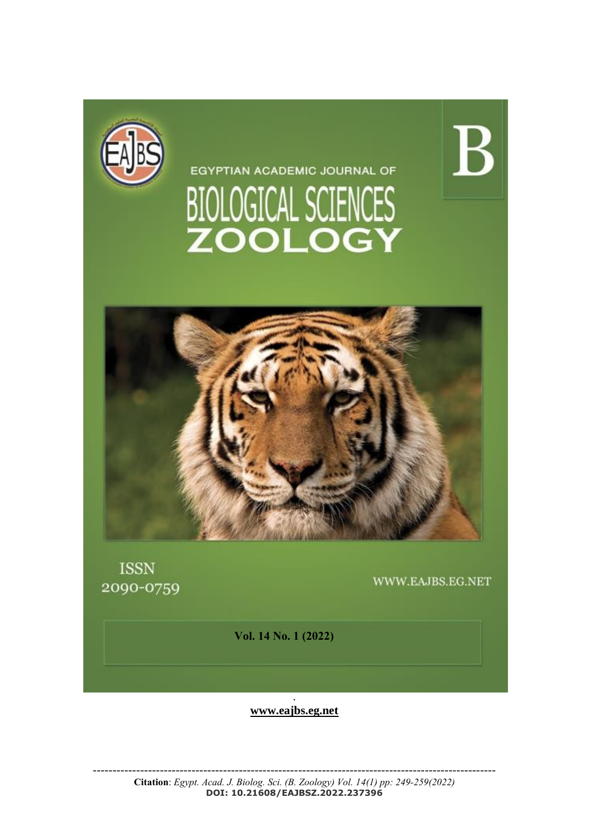

EGYPTIAN ACADEMIC JOURNAL OF BIOLOGICAL SCIENCES<br>ZOOLOGY



**ISSN** 2090-0759

WWW.EAJBS.EG.NET

 $\rm{B}$ 

**Vol. 14 No. 1 (2022)** 

. **[www.eajbs.eg.net](http://www.eajbs.eg.net/)**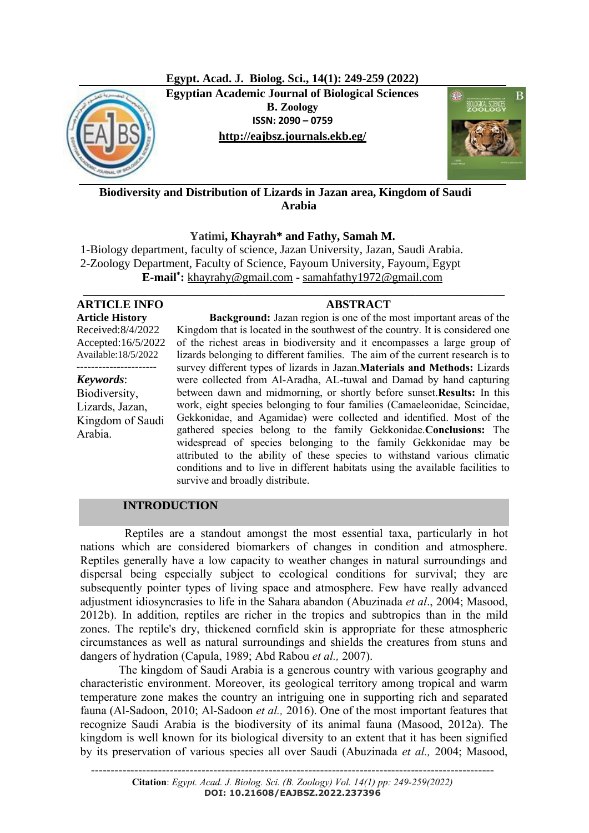**Egypt. Acad. J. Biolog. Sci., 14(1): 249-259 (2022) Egyptian Academic Journal of Biological Sciences**  $\blacksquare$ **B. Zoology ISSN: 2090 – 0759 <http://eajbsz.journals.ekb.eg/>**



**Biodiversity and Distribution of Lizards in Jazan area, Kingdom of Saudi Arabia**

**Yatimi, Khayrah\* and Fathy, Samah M.**

**\_\_\_\_\_\_\_\_\_\_\_\_\_\_\_\_\_\_\_\_\_\_\_\_\_\_\_\_\_\_\_\_\_\_\_\_\_\_\_\_\_\_\_\_\_\_\_\_\_\_\_\_\_\_\_\_\_\_\_\_\_\_\_\_\_\_\_\_\_\_\_**

1-Biology department, faculty of science, Jazan University, Jazan, Saudi Arabia. 2-Zoology Department, Faculty of Science, Fayoum University, Fayoum, Egypt **E-mail\* :** [khayrahy@gmail.com](mailto:khayrahy@gmail.com) **-** [samahfathy1972@gmail.com](mailto:samahfathy1972@gmail.com)

## **ARTICLE INFO ABSTRACT Article History**

Received:8/4/2022 Accepted:16/5/2022 Available:18/5/2022 ----------------------

*Keywords*: Biodiversity, Lizards, Jazan, Kingdom of Saudi Arabia.

 **Background:** Jazan region is one of the most important areas of the Kingdom that is located in the southwest of the country. It is considered one of the richest areas in biodiversity and it encompasses a large group of lizards belonging to different families. The aim of the current research is to survey different types of lizards in Jazan.**Materials and Methods:** Lizards were collected from Al-Aradha, AL-tuwal and Damad by hand capturing between dawn and midmorning, or shortly before sunset.**Results:** In this work, eight species belonging to four families (Camaeleonidae, Scincidae, Gekkonidae, and Agamidae) were collected and identified. Most of the gathered species belong to the family Gekkonidae.**Conclusions:** The widespread of species belonging to the family Gekkonidae may be attributed to the ability of these species to withstand various climatic conditions and to live in different habitats using the available facilities to survive and broadly distribute.

# **INTRODUCTION**

 Reptiles are a standout amongst the most essential taxa, particularly in hot nations which are considered biomarkers of changes in condition and atmosphere. Reptiles generally have a low capacity to weather changes in natural surroundings and dispersal being especially subject to ecological conditions for survival; they are subsequently pointer types of living space and atmosphere. Few have really advanced adjustment idiosyncrasies to life in the Sahara abandon (Abuzinada *et al*., 2004; Masood, 2012b). In addition, reptiles are richer in the tropics and subtropics than in the mild zones. The reptile's dry, thickened cornfield skin is appropriate for these atmospheric circumstances as well as natural surroundings and shields the creatures from stuns and dangers of hydration (Capula, 1989; Abd Rabou *et al.,* 2007).

 The kingdom of Saudi Arabia is a generous country with various geography and characteristic environment. Moreover, its geological territory among tropical and warm temperature zone makes the country an intriguing one in supporting rich and separated fauna (Al-Sadoon, 2010; Al-Sadoon *et al.,* 2016). One of the most important features that recognize Saudi Arabia is the biodiversity of its animal fauna (Masood, 2012a). The kingdom is well known for its biological diversity to an extent that it has been signified by its preservation of various species all over Saudi (Abuzinada *et al.,* 2004; Masood,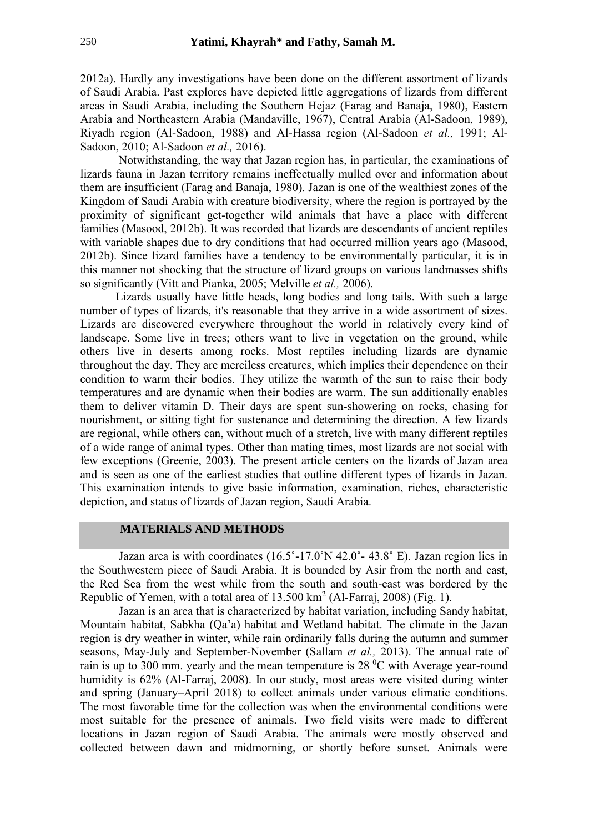2012a). Hardly any investigations have been done on the different assortment of lizards of Saudi Arabia. Past explores have depicted little aggregations of lizards from different areas in Saudi Arabia, including the Southern Hejaz (Farag and Banaja, 1980), Eastern Arabia and Northeastern Arabia (Mandaville, 1967), Central Arabia (Al-Sadoon, 1989), Riyadh region (Al-Sadoon, 1988) and Al-Hassa region (Al-Sadoon *et al.,* 1991; Al-Sadoon, 2010; Al-Sadoon *et al.,* 2016).

 Notwithstanding, the way that Jazan region has, in particular, the examinations of lizards fauna in Jazan territory remains ineffectually mulled over and information about them are insufficient (Farag and Banaja, 1980). Jazan is one of the wealthiest zones of the Kingdom of Saudi Arabia with creature biodiversity, where the region is portrayed by the proximity of significant get-together wild animals that have a place with different families (Masood, 2012b). It was recorded that lizards are descendants of ancient reptiles with variable shapes due to dry conditions that had occurred million years ago (Masood, 2012b). Since lizard families have a tendency to be environmentally particular, it is in this manner not shocking that the structure of lizard groups on various landmasses shifts so significantly (Vitt and Pianka, 2005; Melville *et al.,* 2006).

 Lizards usually have little heads, long bodies and long tails. With such a large number of types of lizards, it's reasonable that they arrive in a wide assortment of sizes. Lizards are discovered everywhere throughout the world in relatively every kind of landscape. Some live in trees; others want to live in vegetation on the ground, while others live in deserts among rocks. Most reptiles including lizards are dynamic throughout the day. They are merciless creatures, which implies their dependence on their condition to warm their bodies. They utilize the warmth of the sun to raise their body temperatures and are dynamic when their bodies are warm. The sun additionally enables them to deliver vitamin D. Their days are spent sun-showering on rocks, chasing for nourishment, or sitting tight for sustenance and determining the direction. A few lizards are regional, while others can, without much of a stretch, live with many different reptiles of a wide range of animal types. Other than mating times, most lizards are not social with few exceptions (Greenie, 2003). The present article centers on the lizards of Jazan area and is seen as one of the earliest studies that outline different types of lizards in Jazan. This examination intends to give basic information, examination, riches, characteristic depiction, and status of lizards of Jazan region, Saudi Arabia.

## **MATERIALS AND METHODS**

 Jazan area is with coordinates (16.5˚-17.0˚N 42.0˚- 43.8˚ E). Jazan region lies in the Southwestern piece of Saudi Arabia. It is bounded by Asir from the north and east, the Red Sea from the west while from the south and south-east was bordered by the Republic of Yemen, with a total area of  $13.500 \text{ km}^2$  (Al-Farraj, 2008) (Fig. 1).

 Jazan is an area that is characterized by habitat variation, including Sandy habitat, Mountain habitat, Sabkha (Qa'a) habitat and Wetland habitat. The climate in the Jazan region is dry weather in winter, while rain ordinarily falls during the autumn and summer seasons, May-July and September-November (Sallam *et al.,* 2013). The annual rate of rain is up to 300 mm. yearly and the mean temperature is  $28\degree C$  with Average year-round humidity is 62% (Al-Farraj, 2008). In our study, most areas were visited during winter and spring (January–April 2018) to collect animals under various climatic conditions. The most favorable time for the collection was when the environmental conditions were most suitable for the presence of animals. Two field visits were made to different locations in Jazan region of Saudi Arabia. The animals were mostly observed and collected between dawn and midmorning, or shortly before sunset. Animals were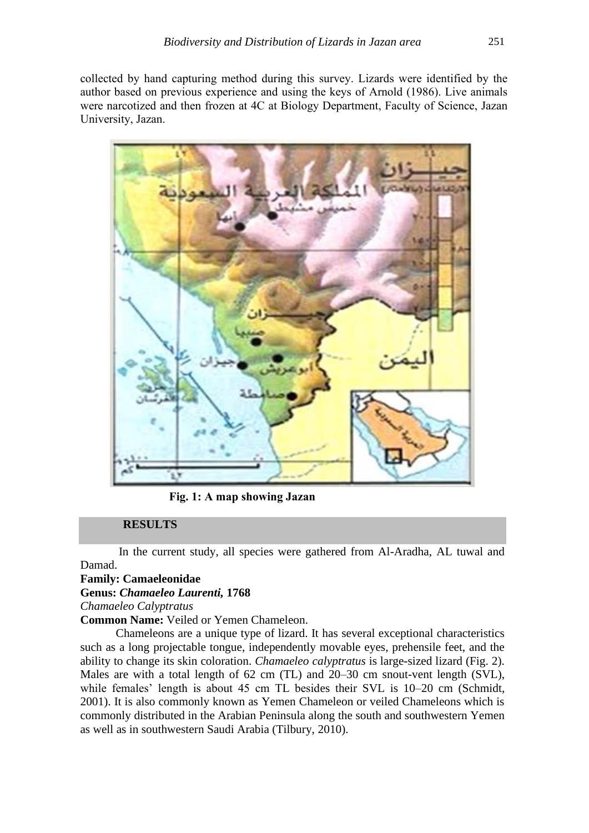collected by hand capturing method during this survey. Lizards were identified by the author based on previous experience and using the keys of Arnold (1986). Live animals were narcotized and then frozen at 4C at Biology Department, Faculty of Science, Jazan University, Jazan.



**Fig. 1: A map showing Jazan**

## **RESULTS**

 In the current study, all species were gathered from Al-Aradha, AL tuwal and Damad.

# **Family: Camaeleonidae**

# **Genus:** *Chamaeleo Laurenti,* **1768**

*Chamaeleo Calyptratus*

**Common Name:** Veiled or Yemen Chameleon.

 Chameleons are a unique type of lizard. It has several exceptional characteristics such as a long projectable tongue, independently movable eyes, prehensile feet, and the ability to change its skin coloration. *Chamaeleo calyptratus* is large-sized lizard (Fig. 2). Males are with a total length of 62 cm (TL) and 20–30 cm snout-vent length (SVL), while females' length is about 45 cm TL besides their SVL is 10–20 cm (Schmidt, 2001). It is also commonly known as Yemen Chameleon or veiled Chameleons which is commonly distributed in the Arabian Peninsula along the south and southwestern Yemen as well as in southwestern Saudi Arabia (Tilbury, 2010).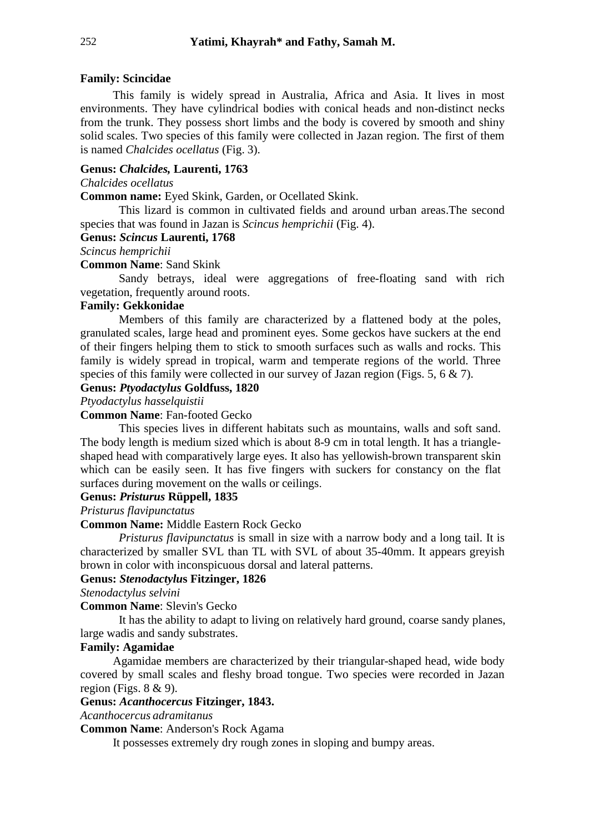## **Family: Scincidae**

 This family is widely spread in Australia, Africa and Asia. It lives in most environments. They have cylindrical bodies with conical heads and non-distinct necks from the trunk. They possess short limbs and the body is covered by smooth and shiny solid scales. Two species of this family were collected in Jazan region. The first of them is named *Chalcides ocellatus* (Fig. 3).

# **Genus:** *Chalcides,* **Laurenti, 1763**

### *Chalcides ocellatus*

**Common name:** Eyed Skink, Garden, or Ocellated Skink.

 This lizard is common in cultivated fields and around urban areas.The second species that was found in Jazan is *Scincus hemprichii* (Fig. 4).

# **Genus:** *Scincus* **Laurenti, 1768**

*Scincus hemprichii*

## **Common Name**: Sand Skink

 Sandy betrays, ideal were aggregations of free-floating sand with rich vegetation, frequently around roots.

## **Family: Gekkonidae**

 Members of this family are characterized by a flattened body at the poles, granulated scales, large head and prominent eyes. Some geckos have suckers at the end of their fingers helping them to stick to smooth surfaces such as walls and rocks. This family is widely spread in tropical, warm and temperate regions of the world. Three species of this family were collected in our survey of Jazan region (Figs. 5, 6 & 7).

# **Genus:** *Ptyodactylus* **Goldfuss, 1820**

*Ptyodactylus hasselquistii*

#### **Common Name**: Fan-footed Gecko

 This species lives in different habitats such as mountains, walls and soft sand. The body length is medium sized which is about 8-9 cm in total length. It has a triangleshaped head with comparatively large eyes. It also has yellowish-brown transparent skin which can be easily seen. It has five fingers with suckers for constancy on the flat surfaces during movement on the walls or ceilings.

#### **Genus:** *Pristurus* **Rüppell, 1835**

*Pristurus flavipunctatus*

**Common Name:** Middle Eastern Rock Gecko

 *Pristurus flavipunctatus* is small in size with a narrow body and a long tail. It is characterized by smaller SVL than TL with SVL of about 35-40mm. It appears greyish brown in color with inconspicuous dorsal and lateral patterns.

## **Genus:** *Stenodactylu***s Fitzinger, 1826**

*Stenodactylus selvini*

## **Common Name**: Slevin's Gecko

 It has the ability to adapt to living on relatively hard ground, coarse sandy planes, large wadis and sandy substrates.

#### **Family: Agamidae**

 Agamidae members are characterized by their triangular-shaped head, wide body covered by small scales and fleshy broad tongue. Two species were recorded in Jazan region (Figs.  $8 \& 9$ ).

## **Genus:** *Acanthocercus* **Fitzinger, 1843.**

*Acanthocercus adramitanus*

**Common Name**: Anderson's Rock Agama

It possesses extremely dry rough zones in sloping and bumpy areas.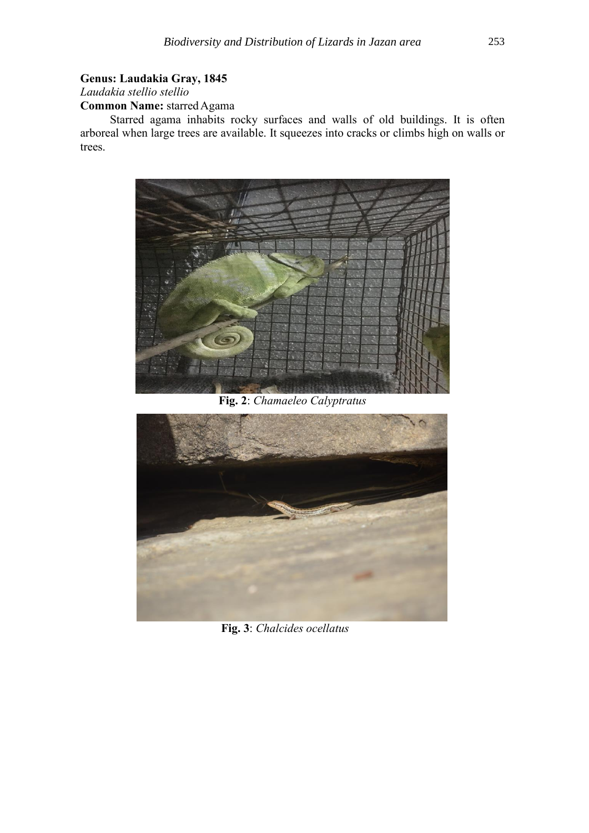# **Genus: Laudakia Gray, 1845**

*Laudakia stellio stellio* 

**Common Name:** starred Agama

 Starred agama inhabits rocky surfaces and walls of old buildings. It is often arboreal when large trees are available. It squeezes into cracks or climbs high on walls or trees.



**Fig. 2**: *Chamaeleo Calyptratus*



**Fig. 3**: *Chalcides ocellatus*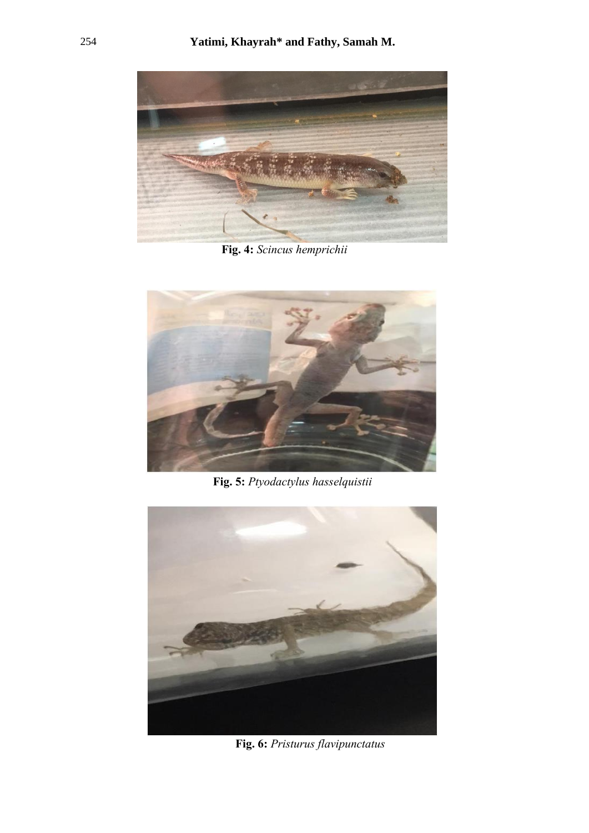

**Fig. 4:** *Scincus hemprichii*



**Fig. 5:** *Ptyodactylus hasselquistii*



**Fig. 6:** *Pristurus flavipunctatus*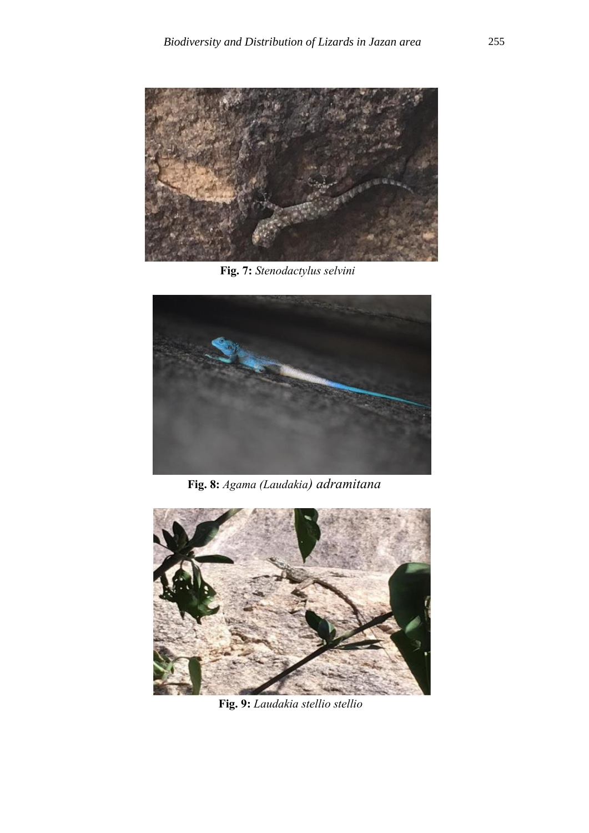

**Fig. 7:** *Stenodactylus selvini*



**Fig. 8:** *Agama (Laudakia) adramitana*



**Fig. 9:** *Laudakia stellio stellio*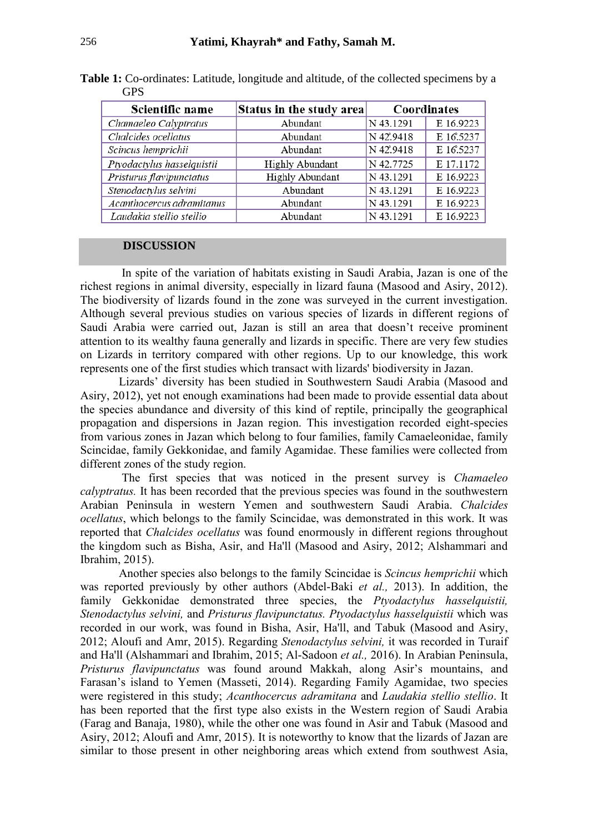| Scientific name            | Status in the study area | Coordinates |           |
|----------------------------|--------------------------|-------------|-----------|
| Chamaeleo Calyptratus      | Abundant                 | N 43.1291   | E 16.9223 |
| Chalcides ocellatus        | Abundant                 | N 42.9418   | E 16.5237 |
| Scincus hemprichii         | Abundant                 | N 42.9418   | E 16.5237 |
| Ptyodactylus hasselquistii | <b>Highly Abundant</b>   | N 42.7725   | E 17.1172 |
| Pristurus flavipunctatus   | <b>Highly Abundant</b>   | N 43.1291   | E 16.9223 |
| Stenodactylus selvini      | Abundant                 | N 43.1291   | E 16.9223 |
| Acanthocercus adramitanus  | Abundant                 | N 43.1291   | E 16.9223 |
| Laudakia stellio stellio   | Abundant                 | N 43.1291   | E 16.9223 |

**Table 1:** Co-ordinates: Latitude, longitude and altitude, of the collected specimens by a GPS

## **DISCUSSION**

 In spite of the variation of habitats existing in Saudi Arabia, Jazan is one of the richest regions in animal diversity, especially in lizard fauna (Masood and Asiry, 2012). The biodiversity of lizards found in the zone was surveyed in the current investigation. Although several previous studies on various species of lizards in different regions of Saudi Arabia were carried out, Jazan is still an area that doesn't receive prominent attention to its wealthy fauna generally and lizards in specific. There are very few studies on Lizards in territory compared with other regions. Up to our knowledge, this work represents one of the first studies which transact with lizards' biodiversity in Jazan.

 Lizards' diversity has been studied in Southwestern Saudi Arabia (Masood and Asiry, 2012), yet not enough examinations had been made to provide essential data about the species abundance and diversity of this kind of reptile, principally the geographical propagation and dispersions in Jazan region. This investigation recorded eight-species from various zones in Jazan which belong to four families, family Camaeleonidae, family Scincidae, family Gekkonidae, and family Agamidae. These families were collected from different zones of the study region.

 The first species that was noticed in the present survey is *Chamaeleo calyptratus.* It has been recorded that the previous species was found in the southwestern Arabian Peninsula in western Yemen and southwestern Saudi Arabia. *Chalcides ocellatus*, which belongs to the family Scincidae, was demonstrated in this work. It was reported that *Chalcides ocellatus* was found enormously in different regions throughout the kingdom such as Bisha, Asir, and Ha'll (Masood and Asiry, 2012; Alshammari and Ibrahim, 2015).

 Another species also belongs to the family Scincidae is *Scincus hemprichii* which was reported previously by other authors (Abdel-Baki *et al.,* 2013). In addition, the family Gekkonidae demonstrated three species, the *Ptyodactylus hasselquistii, Stenodactylus selvini,* and *Pristurus flavipunctatus. Ptyodactylus hasselquistii* which was recorded in our work, was found in Bisha, Asir, Ha'll, and Tabuk (Masood and Asiry, 2012; Aloufi and Amr, 2015). Regarding *Stenodactylus selvini,* it was recorded in Turaif and Ha'll (Alshammari and Ibrahim, 2015; Al-Sadoon *et al.,* 2016). In Arabian Peninsula, *Pristurus flavipunctatus* was found around Makkah, along Asir's mountains, and Farasan's island to Yemen (Masseti, 2014). Regarding Family Agamidae, two species were registered in this study; *Acanthocercus adramitana* and *Laudakia stellio stellio*. It has been reported that the first type also exists in the Western region of Saudi Arabia (Farag and Banaja, 1980), while the other one was found in Asir and Tabuk (Masood and Asiry, 2012; Aloufi and Amr, 2015). It is noteworthy to know that the lizards of Jazan are similar to those present in other neighboring areas which extend from southwest Asia,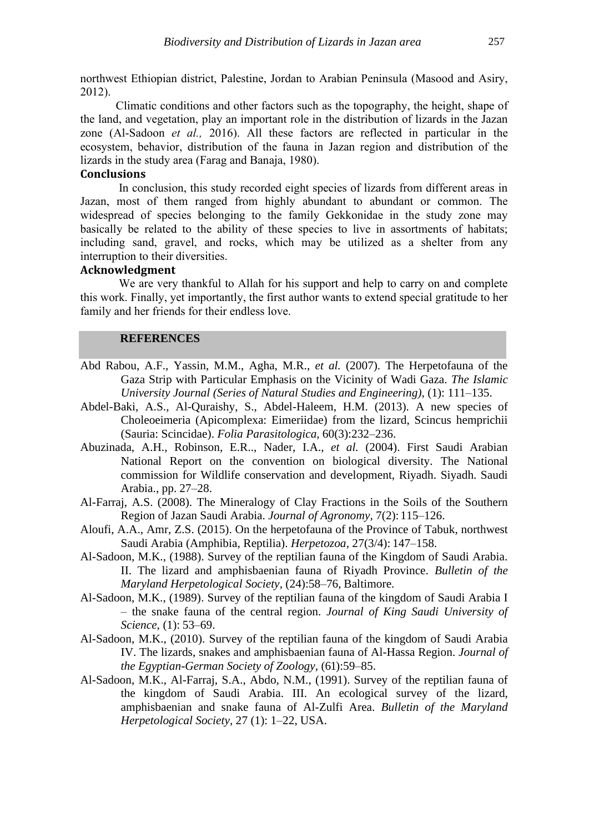northwest Ethiopian district, Palestine, Jordan to Arabian Peninsula (Masood and Asiry, 2012).

 Climatic conditions and other factors such as the topography, the height, shape of the land, and vegetation, play an important role in the distribution of lizards in the Jazan zone (Al-Sadoon *et al.,* 2016). All these factors are reflected in particular in the ecosystem, behavior, distribution of the fauna in Jazan region and distribution of the lizards in the study area (Farag and Banaja, 1980).

# **Conclusions**

 In conclusion, this study recorded eight species of lizards from different areas in Jazan, most of them ranged from highly abundant to abundant or common. The widespread of species belonging to the family Gekkonidae in the study zone may basically be related to the ability of these species to live in assortments of habitats; including sand, gravel, and rocks, which may be utilized as a shelter from any interruption to their diversities.

#### **Acknowledgment**

 We are very thankful to Allah for his support and help to carry on and complete this work. Finally, yet importantly, the first author wants to extend special gratitude to her family and her friends for their endless love.

#### **REFERENCES**

- Abd Rabou, A.F., Yassin, M.M., Agha, M.R., *et al.* (2007). The Herpetofauna of the Gaza Strip with Particular Emphasis on the Vicinity of Wadi Gaza. *The Islamic University Journal (Series of Natural Studies and Engineering),* (1): 111–135.
- Abdel-Baki, A.S., Al-Quraishy, S., Abdel-Haleem, H.M. (2013). A new species of Choleoeimeria (Apicomplexa: Eimeriidae) from the lizard, Scincus hemprichii (Sauria: Scincidae). *Folia Parasitologica,* 60(3):232–236.
- Abuzinada, A.H., Robinson, E.R.., Nader, I.A., *et al.* (2004). First Saudi Arabian National Report on the convention on biological diversity. The National commission for Wildlife conservation and development, Riyadh. Siyadh. Saudi Arabia., pp. 27–28.
- Al-Farraj, A.S. (2008). The Mineralogy of Clay Fractions in the Soils of the Southern Region of Jazan Saudi Arabia. *Journal of Agronomy,* 7(2): 115–126.
- Aloufi, A.A., Amr, Z.S. (2015). On the herpetofauna of the Province of Tabuk, northwest Saudi Arabia (Amphibia, Reptilia). *Herpetozoa,* 27(3/4): 147–158.
- Al-Sadoon, M.K., (1988). Survey of the reptilian fauna of the Kingdom of Saudi Arabia. II. The lizard and amphisbaenian fauna of Riyadh Province. *Bulletin of the Maryland Herpetological Society,* (24):58–76, Baltimore.
- Al-Sadoon, M.K., (1989). Survey of the reptilian fauna of the kingdom of Saudi Arabia I – the snake fauna of the central region. *Journal of King Saudi University of Science*, (1): 53–69.
- Al-Sadoon, M.K., (2010). Survey of the reptilian fauna of the kingdom of Saudi Arabia IV. The lizards, snakes and amphisbaenian fauna of Al-Hassa Region. *Journal of the Egyptian-German Society of Zoology,* (61):59–85.
- Al-Sadoon, M.K., Al-Farraj, S.A., Abdo, N.M., (1991). Survey of the reptilian fauna of the kingdom of Saudi Arabia. III. An ecological survey of the lizard, amphisbaenian and snake fauna of Al-Zulfi Area. *Bulletin of the Maryland Herpetological Society,* 27 (1): 1–22, USA.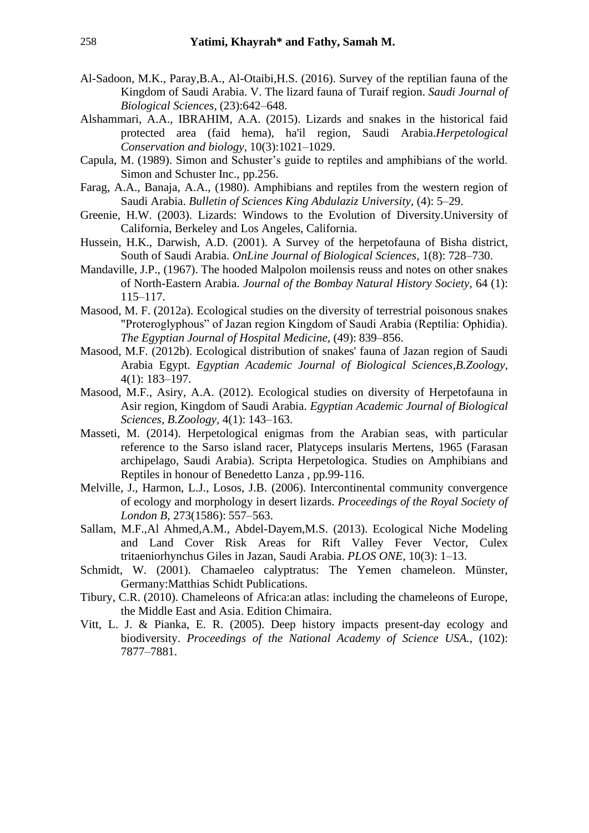- Al-Sadoon, M.K., Paray,B.A., Al-Otaibi,H.S. (2016). Survey of the reptilian fauna of the Kingdom of Saudi Arabia. V. The lizard fauna of Turaif region. *Saudi Journal of Biological Sciences,* (23):642–648.
- Alshammari, A.A., IBRAHIM, A.A. (2015). Lizards and snakes in the historical faid protected area (faid hema), ha'il region, Saudi Arabia.*Herpetological Conservation and biology,* 10(3):1021–1029.
- Capula, M. (1989). Simon and Schuster's guide to reptiles and amphibians of the world. Simon and Schuster Inc., pp.256.
- Farag, A.A., Banaja, A.A., (1980). Amphibians and reptiles from the western region of Saudi Arabia. *Bulletin of Sciences King Abdulaziz University,* (4): 5–29.
- Greenie, H.W. (2003). Lizards: Windows to the Evolution of Diversity.University of California, Berkeley and Los Angeles, California.
- Hussein, H.K., Darwish, A.D. (2001). A Survey of the herpetofauna of Bisha district, South of Saudi Arabia. *OnLine Journal of Biological Sciences,* 1(8): 728–730.
- Mandaville, J.P., (1967). The hooded Malpolon moilensis reuss and notes on other snakes of North-Eastern Arabia. *Journal of the Bombay Natural History Society,* 64 (1): 115–117.
- Masood, M. F. (2012a). Ecological studies on the diversity of terrestrial poisonous snakes "Proteroglyphous" of Jazan region Kingdom of Saudi Arabia (Reptilia: Ophidia). *The Egyptian Journal of Hospital Medicine,* (49): 839–856.
- Masood, M.F. (2012b). Ecological distribution of snakes' fauna of Jazan region of Saudi Arabia Egypt. *Egyptian Academic Journal of Biological Sciences,B.Zoology,* 4(1): 183–197.
- Masood, M.F., Asiry, A.A. (2012). Ecological studies on diversity of Herpetofauna in Asir region, Kingdom of Saudi Arabia. *Egyptian Academic Journal of Biological Sciences, B.Zoology,* 4(1): 143–163.
- Masseti, M. (2014). Herpetological enigmas from the Arabian seas, with particular reference to the Sarso island racer, Platyceps insularis Mertens, 1965 (Farasan archipelago, Saudi Arabia). Scripta Herpetologica. Studies on Amphibians and Reptiles in honour of Benedetto Lanza , pp.99-116.
- Melville, J., Harmon, L.J., Losos, J.B. (2006). Intercontinental community convergence of ecology and morphology in desert lizards. *Proceedings of the Royal Society of London B,* 273(1586): 557–563.
- Sallam, M.F.,Al Ahmed,A.M., Abdel-Dayem,M.S. (2013). Ecological Niche Modeling and Land Cover Risk Areas for Rift Valley Fever Vector, Culex tritaeniorhynchus Giles in Jazan, Saudi Arabia. *PLOS ONE,* 10(3): 1–13.
- Schmidt, W. (2001). Chamaeleo calyptratus: The Yemen chameleon. Münster, Germany:Matthias Schidt Publications.
- Tibury, C.R. (2010). Chameleons of Africa:an atlas: including the chameleons of Europe, the Middle East and Asia. Edition Chimaira.
- Vitt, L. J. & Pianka, E. R. (2005). Deep history impacts present-day ecology and biodiversity. *Proceedings of the National Academy of Science USA.,* (102): 7877–7881.